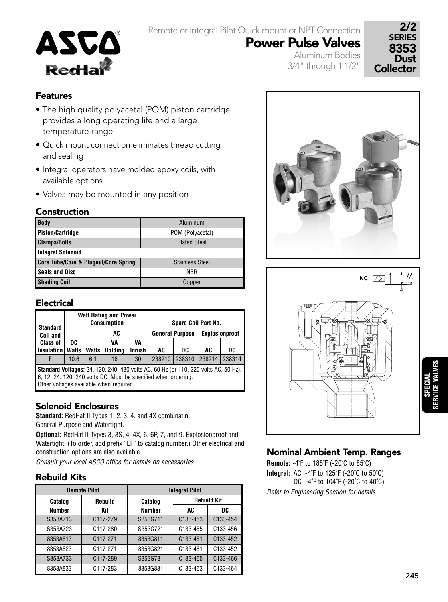

Remote or Integral Pilot Quick mount or NPT Connection Power Pulse Valves

2/2 SERIES 8353<br>Dust **Collector** 

## Features

- The high quality polyacetal (POM) piston cartridge provides a long operating life and a large temperature range
- Quick mount connection eliminates thread cutting and sealing
- Integral operators have molded epoxy coils, with available options
- Valves may be mounted in any position

## Construction

| <b>Body</b>                                     | Aluminum               |
|-------------------------------------------------|------------------------|
| <b>Piston/Cartridge</b>                         | POM (Polyacetal)       |
| <b>Clamps/Bolts</b>                             | <b>Plated Steel</b>    |
| Integral Solenoid                               |                        |
| <b>Core Tube/Core &amp; Plugnut/Core Spring</b> | <b>Stainless Steel</b> |
| <b>Seals and Disc</b>                           | <b>NBR</b>             |
| <b>Shading Coil</b>                             | Copper                 |

## Electrical

| <b>Standard</b>                                                                                                                                                                                         |              |              | <b>Watt Rating and Power</b><br><b>Consumption</b> |               | Spare Coil Part No.    |        |                |        |  |
|---------------------------------------------------------------------------------------------------------------------------------------------------------------------------------------------------------|--------------|--------------|----------------------------------------------------|---------------|------------------------|--------|----------------|--------|--|
| Coil and                                                                                                                                                                                                |              | AC           |                                                    |               | <b>General Purpose</b> |        | Explosionproof |        |  |
| <b>Class of</b>                                                                                                                                                                                         | DC           | VA<br>VA     |                                                    |               |                        |        |                |        |  |
| <b>Insulation</b>                                                                                                                                                                                       | <b>Watts</b> | <b>Watts</b> | Holding                                            | <b>Inrush</b> | AC                     | DC     | AC             | DC     |  |
| F                                                                                                                                                                                                       | 10.6         | 6.1          | 16                                                 | 30            | 238210                 | 238310 | 238214         | 238314 |  |
| <b>Standard Voltages:</b> 24, 120, 240, 480 volts AC, 60 Hz (or 110, 220 volts AC, 50 Hz).<br>6, 12, 24, 120, 240 volts DC. Must be specified when ordering.<br>Other voltages available when required. |              |              |                                                    |               |                        |        |                |        |  |

## Solenoid Enclosures

**Standard:** RedHat II Types 1, 2, 3, 4, and 4X combinatin. General Purpose and Watertight.

**Optional:** RedHat II Types 3, 3S, 4, 4X, 6, 6P, 7, and 9. Explosionproof and Watertight. (To order, add prefix "EF" to catalog number.) Other electrical and construction options are also available.

Consult your local ASCO office for details on accessories.

## Rebuild Kits

|               | <b>Remote Pilot</b>   | <b>Integral Pilot</b> |                       |                       |  |  |  |
|---------------|-----------------------|-----------------------|-----------------------|-----------------------|--|--|--|
| Catalog       | Rebuild               |                       | <b>Rebuild Kit</b>    |                       |  |  |  |
| <b>Number</b> | Kit                   | <b>Number</b>         | AC                    | DC                    |  |  |  |
| S353A713      | C <sub>117</sub> -279 | S353G711              | C133-453              | C <sub>133</sub> -454 |  |  |  |
| S353A723      | C117-280              | S353G721              | C <sub>133</sub> -455 | C <sub>133</sub> -456 |  |  |  |
| 8353A813      | C117-271              | 8353G811              | C133-451              | C <sub>133</sub> -452 |  |  |  |
| 8353A823      | C117-271              | 8353G821              | C <sub>133</sub> -451 | C <sub>133</sub> -452 |  |  |  |
| S353A733      | C117-289              | S353G731              | C <sub>133</sub> -465 | C133-466              |  |  |  |
| 8353A833      | C117-283              | 8353G831              | C133-463              | C133-464              |  |  |  |



Aluminum Bodies 3/4" through 1 1/2"



## Nominal Ambient Temp. Ranges

**Remote:** -4˚F to 185˚F (-20˚C to 85˚C) **Integral:** AC -4˚F to 125˚F (-20˚C to 50˚C) DC -4˚F to 104˚F (-20˚C to 40˚C) Refer to Engineering Section for details.